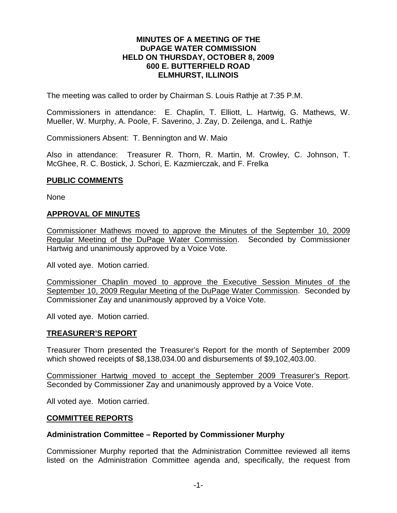#### **MINUTES OF A MEETING OF THE DUPAGE WATER COMMISSION HELD ON THURSDAY, OCTOBER 8, 2009 600 E. BUTTERFIELD ROAD ELMHURST, ILLINOIS**

The meeting was called to order by Chairman S. Louis Rathje at 7:35 P.M.

Commissioners in attendance: E. Chaplin, T. Elliott, L. Hartwig, G. Mathews, W. Mueller, W. Murphy, A. Poole, F. Saverino, J. Zay, D. Zeilenga, and L. Rathje

Commissioners Absent: T. Bennington and W. Maio

Also in attendance: Treasurer R. Thorn, R. Martin, M. Crowley, C. Johnson, T. McGhee, R. C. Bostick, J. Schori, E. Kazmierczak, and F. Frelka

#### **PUBLIC COMMENTS**

None

#### **APPROVAL OF MINUTES**

Commissioner Mathews moved to approve the Minutes of the September 10, 2009 Regular Meeting of the DuPage Water Commission. Seconded by Commissioner Hartwig and unanimously approved by a Voice Vote.

All voted aye. Motion carried.

Commissioner Chaplin moved to approve the Executive Session Minutes of the September 10, 2009 Regular Meeting of the DuPage Water Commission. Seconded by Commissioner Zay and unanimously approved by a Voice Vote.

All voted aye. Motion carried.

## **TREASURER'S REPORT**

Treasurer Thorn presented the Treasurer's Report for the month of September 2009 which showed receipts of \$8,138,034.00 and disbursements of \$9,102,403.00.

Commissioner Hartwig moved to accept the September 2009 Treasurer's Report. Seconded by Commissioner Zay and unanimously approved by a Voice Vote.

All voted aye. Motion carried.

#### **COMMITTEE REPORTS**

#### **Administration Committee – Reported by Commissioner Murphy**

Commissioner Murphy reported that the Administration Committee reviewed all items listed on the Administration Committee agenda and, specifically, the request from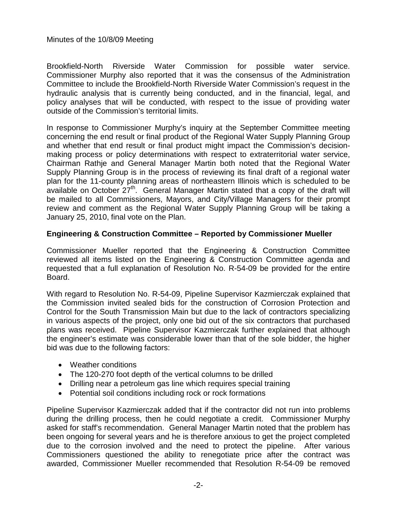Brookfield-North Riverside Water Commission for possible water service. Commissioner Murphy also reported that it was the consensus of the Administration Committee to include the Brookfield-North Riverside Water Commission's request in the hydraulic analysis that is currently being conducted, and in the financial, legal, and policy analyses that will be conducted, with respect to the issue of providing water outside of the Commission's territorial limits.

In response to Commissioner Murphy's inquiry at the September Committee meeting concerning the end result or final product of the Regional Water Supply Planning Group and whether that end result or final product might impact the Commission's decisionmaking process or policy determinations with respect to extraterritorial water service, Chairman Rathje and General Manager Martin both noted that the Regional Water Supply Planning Group is in the process of reviewing its final draft of a regional water plan for the 11-county planning areas of northeastern Illinois which is scheduled to be available on October 27<sup>th</sup>. General Manager Martin stated that a copy of the draft will be mailed to all Commissioners, Mayors, and City/Village Managers for their prompt review and comment as the Regional Water Supply Planning Group will be taking a January 25, 2010, final vote on the Plan.

# **Engineering & Construction Committee – Reported by Commissioner Mueller**

Commissioner Mueller reported that the Engineering & Construction Committee reviewed all items listed on the Engineering & Construction Committee agenda and requested that a full explanation of Resolution No. R-54-09 be provided for the entire Board.

With regard to Resolution No. R-54-09, Pipeline Supervisor Kazmierczak explained that the Commission invited sealed bids for the construction of Corrosion Protection and Control for the South Transmission Main but due to the lack of contractors specializing in various aspects of the project, only one bid out of the six contractors that purchased plans was received. Pipeline Supervisor Kazmierczak further explained that although the engineer's estimate was considerable lower than that of the sole bidder, the higher bid was due to the following factors:

- Weather conditions
- The 120-270 foot depth of the vertical columns to be drilled
- Drilling near a petroleum gas line which requires special training
- Potential soil conditions including rock or rock formations

Pipeline Supervisor Kazmierczak added that if the contractor did not run into problems during the drilling process, then he could negotiate a credit. Commissioner Murphy asked for staff's recommendation. General Manager Martin noted that the problem has been ongoing for several years and he is therefore anxious to get the project completed due to the corrosion involved and the need to protect the pipeline. After various Commissioners questioned the ability to renegotiate price after the contract was awarded, Commissioner Mueller recommended that Resolution R-54-09 be removed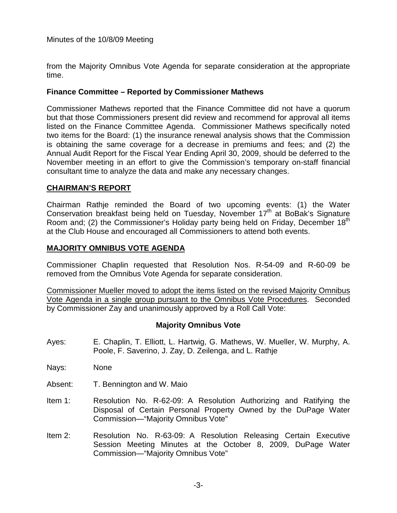from the Majority Omnibus Vote Agenda for separate consideration at the appropriate time.

## **Finance Committee – Reported by Commissioner Mathews**

Commissioner Mathews reported that the Finance Committee did not have a quorum but that those Commissioners present did review and recommend for approval all items listed on the Finance Committee Agenda. Commissioner Mathews specifically noted two items for the Board: (1) the insurance renewal analysis shows that the Commission is obtaining the same coverage for a decrease in premiums and fees; and (2) the Annual Audit Report for the Fiscal Year Ending April 30, 2009, should be deferred to the November meeting in an effort to give the Commission's temporary on-staff financial consultant time to analyze the data and make any necessary changes.

## **CHAIRMAN'S REPORT**

Chairman Rathje reminded the Board of two upcoming events: (1) the Water Conservation breakfast being held on Tuesday, November 17<sup>th</sup> at BoBak's Signature Room and; (2) the Commissioner's Holiday party being held on Friday, December 18<sup>th</sup> at the Club House and encouraged all Commissioners to attend both events.

## **MAJORITY OMNIBUS VOTE AGENDA**

Commissioner Chaplin requested that Resolution Nos. R-54-09 and R-60-09 be removed from the Omnibus Vote Agenda for separate consideration.

Commissioner Mueller moved to adopt the items listed on the revised Majority Omnibus Vote Agenda in a single group pursuant to the Omnibus Vote Procedures. Seconded by Commissioner Zay and unanimously approved by a Roll Call Vote:

## **Majority Omnibus Vote**

- Ayes: E. Chaplin, T. Elliott, L. Hartwig, G. Mathews, W. Mueller, W. Murphy, A. Poole, F. Saverino, J. Zay, D. Zeilenga, and L. Rathje
- Nays: None
- Absent: T. Bennington and W. Maio
- Item 1: Resolution No. R-62-09: A Resolution Authorizing and Ratifying the Disposal of Certain Personal Property Owned by the DuPage Water Commission—"Majority Omnibus Vote"
- Item 2: Resolution No. R-63-09: A Resolution Releasing Certain Executive Session Meeting Minutes at the October 8, 2009, DuPage Water Commission—"Majority Omnibus Vote"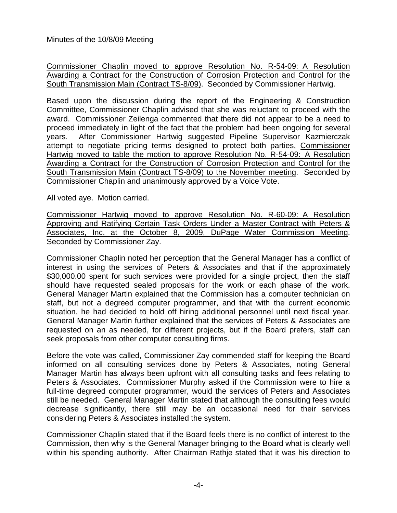Commissioner Chaplin moved to approve Resolution No. R-54-09: A Resolution Awarding a Contract for the Construction of Corrosion Protection and Control for the South Transmission Main (Contract TS-8/09). Seconded by Commissioner Hartwig.

Based upon the discussion during the report of the Engineering & Construction Committee, Commissioner Chaplin advised that she was reluctant to proceed with the award. Commissioner Zeilenga commented that there did not appear to be a need to proceed immediately in light of the fact that the problem had been ongoing for several years. After Commissioner Hartwig suggested Pipeline Supervisor Kazmierczak attempt to negotiate pricing terms designed to protect both parties, Commissioner Hartwig moved to table the motion to approve Resolution No. R-54-09: A Resolution Awarding a Contract for the Construction of Corrosion Protection and Control for the South Transmission Main (Contract TS-8/09) to the November meeting. Seconded by Commissioner Chaplin and unanimously approved by a Voice Vote.

All voted aye. Motion carried.

Commissioner Hartwig moved to approve Resolution No. R-60-09: A Resolution Approving and Ratifying Certain Task Orders Under a Master Contract with Peters & Associates, Inc. at the October 8, 2009, DuPage Water Commission Meeting. Seconded by Commissioner Zay.

Commissioner Chaplin noted her perception that the General Manager has a conflict of interest in using the services of Peters & Associates and that if the approximately \$30,000.00 spent for such services were provided for a single project, then the staff should have requested sealed proposals for the work or each phase of the work. General Manager Martin explained that the Commission has a computer technician on staff, but not a degreed computer programmer, and that with the current economic situation, he had decided to hold off hiring additional personnel until next fiscal year. General Manager Martin further explained that the services of Peters & Associates are requested on an as needed, for different projects, but if the Board prefers, staff can seek proposals from other computer consulting firms.

Before the vote was called, Commissioner Zay commended staff for keeping the Board informed on all consulting services done by Peters & Associates, noting General Manager Martin has always been upfront with all consulting tasks and fees relating to Peters & Associates. Commissioner Murphy asked if the Commission were to hire a full-time degreed computer programmer, would the services of Peters and Associates still be needed. General Manager Martin stated that although the consulting fees would decrease significantly, there still may be an occasional need for their services considering Peters & Associates installed the system.

Commissioner Chaplin stated that if the Board feels there is no conflict of interest to the Commission, then why is the General Manager bringing to the Board what is clearly well within his spending authority. After Chairman Rathje stated that it was his direction to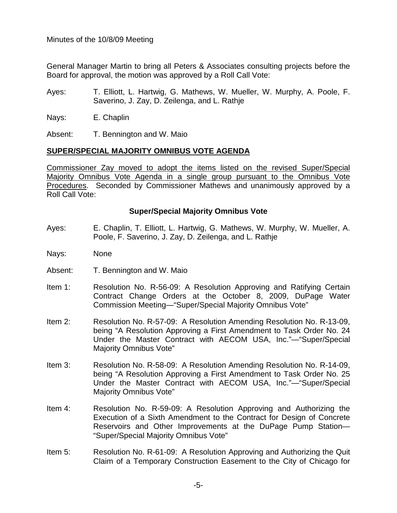General Manager Martin to bring all Peters & Associates consulting projects before the Board for approval, the motion was approved by a Roll Call Vote:

- Ayes: T. Elliott, L. Hartwig, G. Mathews, W. Mueller, W. Murphy, A. Poole, F. Saverino, J. Zay, D. Zeilenga, and L. Rathje
- Nays: E. Chaplin

Absent: T. Bennington and W. Maio

# **SUPER/SPECIAL MAJORITY OMNIBUS VOTE AGENDA**

Commissioner Zay moved to adopt the items listed on the revised Super/Special Majority Omnibus Vote Agenda in a single group pursuant to the Omnibus Vote Procedures. Seconded by Commissioner Mathews and unanimously approved by a Roll Call Vote:

# **Super/Special Majority Omnibus Vote**

- Ayes: E. Chaplin, T. Elliott, L. Hartwig, G. Mathews, W. Murphy, W. Mueller, A. Poole, F. Saverino, J. Zay, D. Zeilenga, and L. Rathje
- Nays: None
- Absent: T. Bennington and W. Maio
- Item 1: Resolution No. R-56-09: A Resolution Approving and Ratifying Certain Contract Change Orders at the October 8, 2009, DuPage Water Commission Meeting—"Super/Special Majority Omnibus Vote"
- Item 2: Resolution No. R-57-09: A Resolution Amending Resolution No. R-13-09, being "A Resolution Approving a First Amendment to Task Order No. 24 Under the Master Contract with AECOM USA, Inc."—"Super/Special Majority Omnibus Vote"
- Item 3: Resolution No. R-58-09: A Resolution Amending Resolution No. R-14-09, being "A Resolution Approving a First Amendment to Task Order No. 25 Under the Master Contract with AECOM USA, Inc."—"Super/Special Majority Omnibus Vote"
- Item 4: Resolution No. R-59-09: A Resolution Approving and Authorizing the Execution of a Sixth Amendment to the Contract for Design of Concrete Reservoirs and Other Improvements at the DuPage Pump Station— "Super/Special Majority Omnibus Vote"
- Item 5: Resolution No. R-61-09: A Resolution Approving and Authorizing the Quit Claim of a Temporary Construction Easement to the City of Chicago for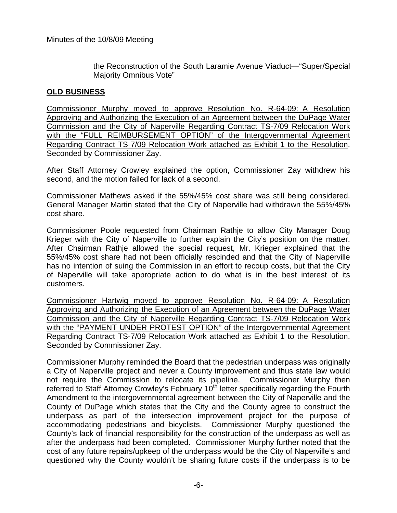the Reconstruction of the South Laramie Avenue Viaduct—"Super/Special Majority Omnibus Vote"

# **OLD BUSINESS**

Commissioner Murphy moved to approve Resolution No. R-64-09: A Resolution Approving and Authorizing the Execution of an Agreement between the DuPage Water Commission and the City of Naperville Regarding Contract TS-7/09 Relocation Work with the "FULL REIMBURSEMENT OPTION" of the Intergovernmental Agreement Regarding Contract TS-7/09 Relocation Work attached as Exhibit 1 to the Resolution. Seconded by Commissioner Zay.

After Staff Attorney Crowley explained the option, Commissioner Zay withdrew his second, and the motion failed for lack of a second.

Commissioner Mathews asked if the 55%/45% cost share was still being considered. General Manager Martin stated that the City of Naperville had withdrawn the 55%/45% cost share.

Commissioner Poole requested from Chairman Rathje to allow City Manager Doug Krieger with the City of Naperville to further explain the City's position on the matter. After Chairman Rathje allowed the special request, Mr. Krieger explained that the 55%/45% cost share had not been officially rescinded and that the City of Naperville has no intention of suing the Commission in an effort to recoup costs, but that the City of Naperville will take appropriate action to do what is in the best interest of its customers.

Commissioner Hartwig moved to approve Resolution No. R-64-09: A Resolution Approving and Authorizing the Execution of an Agreement between the DuPage Water Commission and the City of Naperville Regarding Contract TS-7/09 Relocation Work with the "PAYMENT UNDER PROTEST OPTION" of the Intergovernmental Agreement Regarding Contract TS-7/09 Relocation Work attached as Exhibit 1 to the Resolution. Seconded by Commissioner Zay.

Commissioner Murphy reminded the Board that the pedestrian underpass was originally a City of Naperville project and never a County improvement and thus state law would not require the Commission to relocate its pipeline. Commissioner Murphy then referred to Staff Attorney Crowley's February  $10<sup>th</sup>$  letter specifically regarding the Fourth Amendment to the intergovernmental agreement between the City of Naperville and the County of DuPage which states that the City and the County agree to construct the underpass as part of the intersection improvement project for the purpose of accommodating pedestrians and bicyclists. Commissioner Murphy questioned the County's lack of financial responsibility for the construction of the underpass as well as after the underpass had been completed. Commissioner Murphy further noted that the cost of any future repairs/upkeep of the underpass would be the City of Naperville's and questioned why the County wouldn't be sharing future costs if the underpass is to be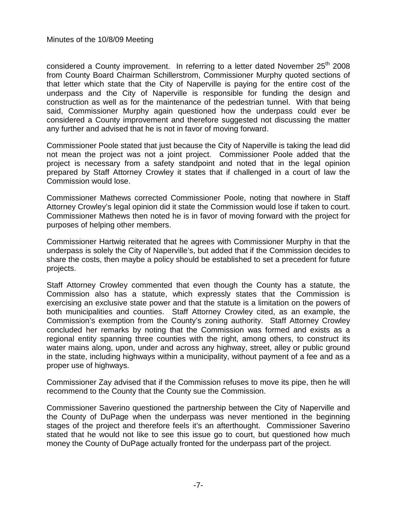considered a County improvement. In referring to a letter dated November  $25<sup>th</sup>$  2008 from County Board Chairman Schillerstrom, Commissioner Murphy quoted sections of that letter which state that the City of Naperville is paying for the entire cost of the underpass and the City of Naperville is responsible for funding the design and construction as well as for the maintenance of the pedestrian tunnel. With that being said, Commissioner Murphy again questioned how the underpass could ever be considered a County improvement and therefore suggested not discussing the matter any further and advised that he is not in favor of moving forward.

Commissioner Poole stated that just because the City of Naperville is taking the lead did not mean the project was not a joint project. Commissioner Poole added that the project is necessary from a safety standpoint and noted that in the legal opinion prepared by Staff Attorney Crowley it states that if challenged in a court of law the Commission would lose.

Commissioner Mathews corrected Commissioner Poole, noting that nowhere in Staff Attorney Crowley's legal opinion did it state the Commission would lose if taken to court. Commissioner Mathews then noted he is in favor of moving forward with the project for purposes of helping other members.

Commissioner Hartwig reiterated that he agrees with Commissioner Murphy in that the underpass is solely the City of Naperville's, but added that if the Commission decides to share the costs, then maybe a policy should be established to set a precedent for future projects.

Staff Attorney Crowley commented that even though the County has a statute, the Commission also has a statute, which expressly states that the Commission is exercising an exclusive state power and that the statute is a limitation on the powers of both municipalities and counties. Staff Attorney Crowley cited, as an example, the Commission's exemption from the County's zoning authority. Staff Attorney Crowley concluded her remarks by noting that the Commission was formed and exists as a regional entity spanning three counties with the right, among others, to construct its water mains along, upon, under and across any highway, street, alley or public ground in the state, including highways within a municipality, without payment of a fee and as a proper use of highways.

Commissioner Zay advised that if the Commission refuses to move its pipe, then he will recommend to the County that the County sue the Commission.

Commissioner Saverino questioned the partnership between the City of Naperville and the County of DuPage when the underpass was never mentioned in the beginning stages of the project and therefore feels it's an afterthought. Commissioner Saverino stated that he would not like to see this issue go to court, but questioned how much money the County of DuPage actually fronted for the underpass part of the project.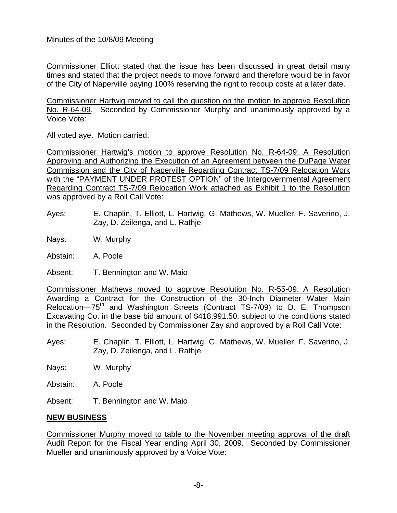Commissioner Elliott stated that the issue has been discussed in great detail many times and stated that the project needs to move forward and therefore would be in favor of the City of Naperville paying 100% reserving the right to recoup costs at a later date.

Commissioner Hartwig moved to call the question on the motion to approve Resolution No. R-64-09. Seconded by Commissioner Murphy and unanimously approved by a Voice Vote:

All voted aye. Motion carried.

Commissioner Hartwig's motion to approve Resolution No. R-64-09: A Resolution Approving and Authorizing the Execution of an Agreement between the DuPage Water Commission and the City of Naperville Regarding Contract TS-7/09 Relocation Work with the "PAYMENT UNDER PROTEST OPTION" of the Intergovernmental Agreement Regarding Contract TS-7/09 Relocation Work attached as Exhibit 1 to the Resolution was approved by a Roll Call Vote:

Ayes: E. Chaplin, T. Elliott, L. Hartwig, G. Mathews, W. Mueller, F. Saverino, J. Zay, D. Zeilenga, and L. Rathje

Nays: W. Murphy

Abstain: A. Poole

Absent: T. Bennington and W. Maio

Commissioner Mathews moved to approve Resolution No. R-55-09: A Resolution Awarding a Contract for the Construction of the 30-Inch Diameter Water Main Relocation—75<sup>th</sup> and Washington Streets (Contract TS-7/09) to D. E. Thompson Excavating Co. in the base bid amount of \$418,991.50, subject to the conditions stated in the Resolution. Seconded by Commissioner Zay and approved by a Roll Call Vote:

Ayes: E. Chaplin, T. Elliott, L. Hartwig, G. Mathews, W. Mueller, F. Saverino, J. Zay, D. Zeilenga, and L. Rathje

Nays: W. Murphy

Abstain: A. Poole

Absent: T. Bennington and W. Maio

## **NEW BUSINESS**

Commissioner Murphy moved to table to the November meeting approval of the draft Audit Report for the Fiscal Year ending April 30, 2009. Seconded by Commissioner Mueller and unanimously approved by a Voice Vote: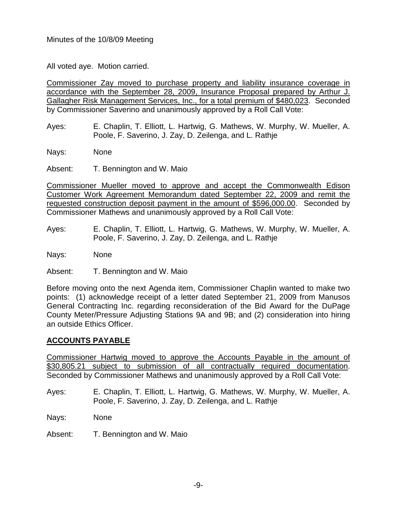All voted aye. Motion carried.

Commissioner Zay moved to purchase property and liability insurance coverage in accordance with the September 28, 2009, Insurance Proposal prepared by Arthur J. Gallagher Risk Management Services, Inc., for a total premium of \$480,023. Seconded by Commissioner Saverino and unanimously approved by a Roll Call Vote:

- Ayes: E. Chaplin, T. Elliott, L. Hartwig, G. Mathews, W. Murphy, W. Mueller, A. Poole, F. Saverino, J. Zay, D. Zeilenga, and L. Rathje
- Nays: None

Absent: T. Bennington and W. Maio

Commissioner Mueller moved to approve and accept the Commonwealth Edison Customer Work Agreement Memorandum dated September 22, 2009 and remit the requested construction deposit payment in the amount of \$596,000.00. Seconded by Commissioner Mathews and unanimously approved by a Roll Call Vote:

- Ayes: E. Chaplin, T. Elliott, L. Hartwig, G. Mathews, W. Murphy, W. Mueller, A. Poole, F. Saverino, J. Zay, D. Zeilenga, and L. Rathje
- Nays: None
- Absent: T. Bennington and W. Maio

Before moving onto the next Agenda item, Commissioner Chaplin wanted to make two points: (1) acknowledge receipt of a letter dated September 21, 2009 from Manusos General Contracting Inc. regarding reconsideration of the Bid Award for the DuPage County Meter/Pressure Adjusting Stations 9A and 9B; and (2) consideration into hiring an outside Ethics Officer.

## **ACCOUNTS PAYABLE**

Commissioner Hartwig moved to approve the Accounts Payable in the amount of \$30,805.21 subject to submission of all contractually required documentation. Seconded by Commissioner Mathews and unanimously approved by a Roll Call Vote:

- Ayes: E. Chaplin, T. Elliott, L. Hartwig, G. Mathews, W. Murphy, W. Mueller, A. Poole, F. Saverino, J. Zay, D. Zeilenga, and L. Rathje
- Nays: None
- Absent: T. Bennington and W. Maio